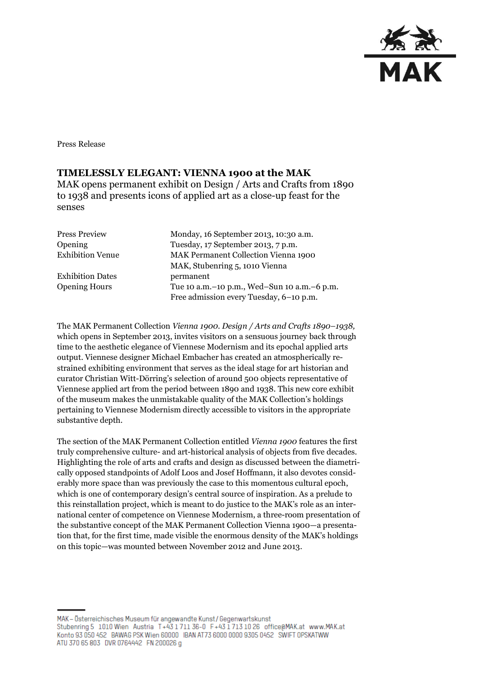

Press Release

## **TIMELESSLY ELEGANT: VIENNA 1900 at the MAK**

MAK opens permanent exhibit on Design / Arts and Crafts from 1890 to 1938 and presents icons of applied art as a close-up feast for the senses

| <b>Press Preview</b>    | Monday, 16 September 2013, 10:30 a.m.           |
|-------------------------|-------------------------------------------------|
| Opening                 | Tuesday, 17 September 2013, 7 p.m.              |
| <b>Exhibition Venue</b> | <b>MAK Permanent Collection Vienna 1900</b>     |
|                         | MAK, Stubenring 5, 1010 Vienna                  |
| <b>Exhibition Dates</b> | permanent                                       |
| <b>Opening Hours</b>    | Tue 10 a.m. - 10 p.m., Wed-Sun 10 a.m. - 6 p.m. |
|                         | Free admission every Tuesday, 6-10 p.m.         |

The MAK Permanent Collection *Vienna 1900. Design / Arts and Crafts 1890–1938,*  which opens in September 2013, invites visitors on a sensuous journey back through time to the aesthetic elegance of Viennese Modernism and its epochal applied arts output. Viennese designer Michael Embacher has created an atmospherically restrained exhibiting environment that serves as the ideal stage for art historian and curator Christian Witt-Dörring's selection of around 500 objects representative of Viennese applied art from the period between 1890 and 1938. This new core exhibit of the museum makes the unmistakable quality of the MAK Collection's holdings pertaining to Viennese Modernism directly accessible to visitors in the appropriate substantive depth.

The section of the MAK Permanent Collection entitled *Vienna 1900* features the first truly comprehensive culture- and art-historical analysis of objects from five decades. Highlighting the role of arts and crafts and design as discussed between the diametrically opposed standpoints of Adolf Loos and Josef Hoffmann, it also devotes considerably more space than was previously the case to this momentous cultural epoch, which is one of contemporary design's central source of inspiration. As a prelude to this reinstallation project, which is meant to do justice to the MAK's role as an international center of competence on Viennese Modernism, a three-room presentation of the substantive concept of the MAK Permanent Collection Vienna 1900—a presentation that, for the first time, made visible the enormous density of the MAK's holdings on this topic—was mounted between November 2012 and June 2013.

MAK - Österreichisches Museum für angewandte Kunst/Gegenwartskunst Stubenring 5 1010 Wien Austria T+43 1711 36-0 F+43 1713 10 26 office@MAK.at www.MAK.at Konto 93 050 452 BAWAG PSK Wien 60000 BAN AT73 6000 0000 9305 0452 SWIFT OPSKATWW ATU 370 65 803 DVR 0764442 FN 200026 g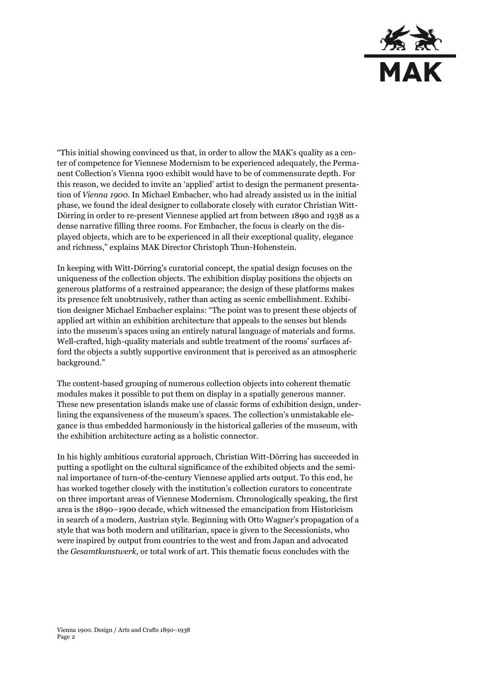

"This initial showing convinced us that, in order to allow the MAK's quality as a center of competence for Viennese Modernism to be experienced adequately, the Permanent Collection's Vienna 1900 exhibit would have to be of commensurate depth. For this reason, we decided to invite an 'applied' artist to design the permanent presentation of *Vienna 1900.* In Michael Embacher, who had already assisted us in the initial phase, we found the ideal designer to collaborate closely with curator Christian Witt-Dörring in order to re-present Viennese applied art from between 1890 and 1938 as a dense narrative filling three rooms. For Embacher, the focus is clearly on the displayed objects, which are to be experienced in all their exceptional quality, elegance and richness," explains MAK Director Christoph Thun-Hohenstein.

In keeping with Witt-Dörring's curatorial concept, the spatial design focuses on the uniqueness of the collection objects. The exhibition display positions the objects on generous platforms of a restrained appearance; the design of these platforms makes its presence felt unobtrusively, rather than acting as scenic embellishment. Exhibition designer Michael Embacher explains: "The point was to present these objects of applied art within an exhibition architecture that appeals to the senses but blends into the museum's spaces using an entirely natural language of materials and forms. Well-crafted, high-quality materials and subtle treatment of the rooms' surfaces afford the objects a subtly supportive environment that is perceived as an atmospheric background."

The content-based grouping of numerous collection objects into coherent thematic modules makes it possible to put them on display in a spatially generous manner. These new presentation islands make use of classic forms of exhibition design, underlining the expansiveness of the museum's spaces. The collection's unmistakable elegance is thus embedded harmoniously in the historical galleries of the museum, with the exhibition architecture acting as a holistic connector.

In his highly ambitious curatorial approach, Christian Witt-Dörring has succeeded in putting a spotlight on the cultural significance of the exhibited objects and the seminal importance of turn-of-the-century Viennese applied arts output. To this end, he has worked together closely with the institution's collection curators to concentrate on three important areas of Viennese Modernism. Chronologically speaking, the first area is the 1890–1900 decade, which witnessed the emancipation from Historicism in search of a modern, Austrian style. Beginning with Otto Wagner's propagation of a style that was both modern and utilitarian, space is given to the Secessionists, who were inspired by output from countries to the west and from Japan and advocated the *Gesamtkunstwerk,* or total work of art. This thematic focus concludes with the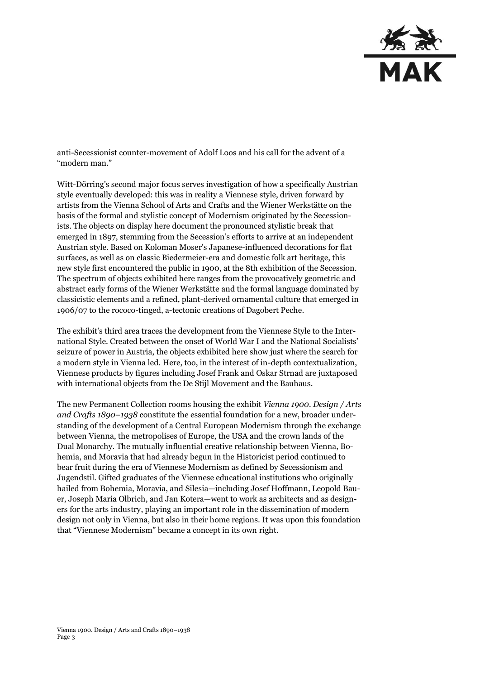

anti-Secessionist counter-movement of Adolf Loos and his call for the advent of a "modern man."

Witt-Dörring's second major focus serves investigation of how a specifically Austrian style eventually developed: this was in reality a Viennese style, driven forward by artists from the Vienna School of Arts and Crafts and the Wiener Werkstätte on the basis of the formal and stylistic concept of Modernism originated by the Secessionists. The objects on display here document the pronounced stylistic break that emerged in 1897, stemming from the Secession's efforts to arrive at an independent Austrian style. Based on Koloman Moser's Japanese-influenced decorations for flat surfaces, as well as on classic Biedermeier-era and domestic folk art heritage, this new style first encountered the public in 1900, at the 8th exhibition of the Secession. The spectrum of objects exhibited here ranges from the provocatively geometric and abstract early forms of the Wiener Werkstätte and the formal language dominated by classicistic elements and a refined, plant-derived ornamental culture that emerged in 1906/07 to the rococo-tinged, a-tectonic creations of Dagobert Peche.

The exhibit's third area traces the development from the Viennese Style to the International Style. Created between the onset of World War I and the National Socialists' seizure of power in Austria, the objects exhibited here show just where the search for a modern style in Vienna led. Here, too, in the interest of in-depth contextualization, Viennese products by figures including Josef Frank and Oskar Strnad are juxtaposed with international objects from the De Stijl Movement and the Bauhaus.

The new Permanent Collection rooms housing the exhibit *Vienna 1900. Design / Arts and Crafts 1890–1938* constitute the essential foundation for a new, broader understanding of the development of a Central European Modernism through the exchange between Vienna, the metropolises of Europe, the USA and the crown lands of the Dual Monarchy. The mutually influential creative relationship between Vienna, Bohemia, and Moravia that had already begun in the Historicist period continued to bear fruit during the era of Viennese Modernism as defined by Secessionism and Jugendstil. Gifted graduates of the Viennese educational institutions who originally hailed from Bohemia, Moravia, and Silesia—including Josef Hoffmann, Leopold Bauer, Joseph Maria Olbrich, and Jan Kotera—went to work as architects and as designers for the arts industry, playing an important role in the dissemination of modern design not only in Vienna, but also in their home regions. It was upon this foundation that "Viennese Modernism" became a concept in its own right.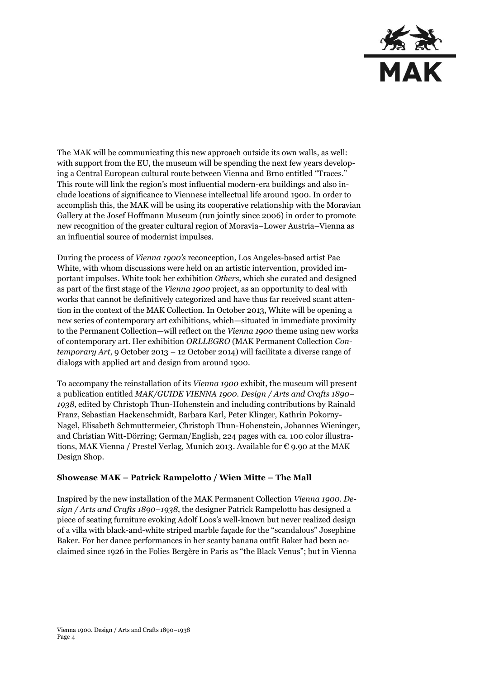

The MAK will be communicating this new approach outside its own walls, as well: with support from the EU, the museum will be spending the next few years developing a Central European cultural route between Vienna and Brno entitled "Traces." This route will link the region's most influential modern-era buildings and also include locations of significance to Viennese intellectual life around 1900. In order to accomplish this, the MAK will be using its cooperative relationship with the Moravian Gallery at the Josef Hoffmann Museum (run jointly since 2006) in order to promote new recognition of the greater cultural region of Moravia–Lower Austria–Vienna as an influential source of modernist impulses.

During the process of *Vienna 1900's* reconception, Los Angeles-based artist Pae White, with whom discussions were held on an artistic intervention, provided important impulses. White took her exhibition *Others,* which she curated and designed as part of the first stage of the *Vienna 1900* project, as an opportunity to deal with works that cannot be definitively categorized and have thus far received scant attention in the context of the MAK Collection. In October 2013, White will be opening a new series of contemporary art exhibitions, which—situated in immediate proximity to the Permanent Collection—will reflect on the *Vienna 1900* theme using new works of contemporary art. Her exhibition *ORLLEGRO* (MAK Permanent Collection *Contemporary Art*, 9 October 2013 – 12 October 2014) will facilitate a diverse range of dialogs with applied art and design from around 1900.

To accompany the reinstallation of its *Vienna 1900* exhibit, the museum will present a publication entitled *MAK/GUIDE VIENNA 1900. Design / Arts and Crafts 1890– 1938,* edited by Christoph Thun-Hohenstein and including contributions by Rainald Franz, Sebastian Hackenschmidt, Barbara Karl, Peter Klinger, Kathrin Pokorny-Nagel, Elisabeth Schmuttermeier, Christoph Thun-Hohenstein, Johannes Wieninger, and Christian Witt-Dörring; German/English, 224 pages with ca. 100 color illustrations, MAK Vienna / Prestel Verlag, Munich 2013. Available for € 9.90 at the MAK Design Shop.

## **Showcase MAK – Patrick Rampelotto / Wien Mitte – The Mall**

Inspired by the new installation of the MAK Permanent Collection *Vienna 1900. Design / Arts and Crafts 1890–1938*, the designer Patrick Rampelotto has designed a piece of seating furniture evoking Adolf Loos's well-known but never realized design of a villa with black-and-white striped marble façade for the "scandalous" Josephine Baker. For her dance performances in her scanty banana outfit Baker had been acclaimed since 1926 in the Folies Bergère in Paris as "the Black Venus"; but in Vienna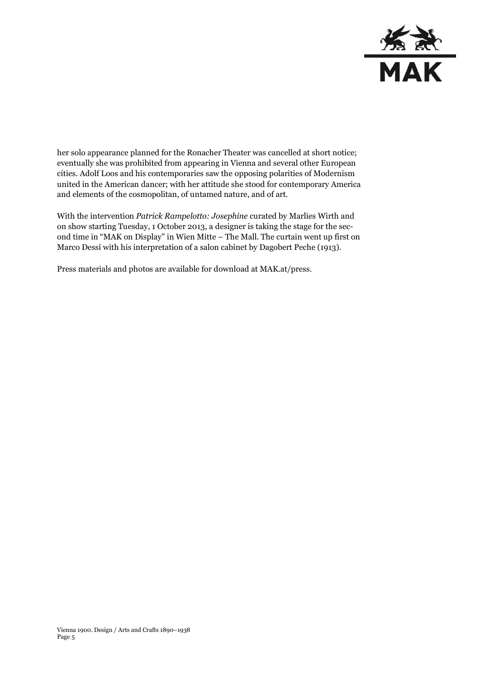

her solo appearance planned for the Ronacher Theater was cancelled at short notice; eventually she was prohibited from appearing in Vienna and several other European cities. Adolf Loos and his contemporaries saw the opposing polarities of Modernism united in the American dancer; with her attitude she stood for contemporary America and elements of the cosmopolitan, of untamed nature, and of art.

With the intervention *Patrick Rampelotto: Josephine* curated by Marlies Wirth and on show starting Tuesday, 1 October 2013, a designer is taking the stage for the second time in "MAK on Display" in Wien Mitte – The Mall. The curtain went up first on Marco Dessí with his interpretation of a salon cabinet by Dagobert Peche (1913).

Press materials and photos are available for download at MAK.at/press.